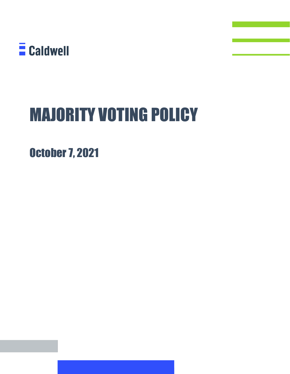

## MAJORITY VOTING POLICY

October 7, 2021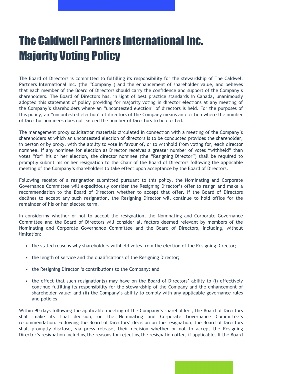## The Caldwell Partners International Inc. Majority Voting Policy

The Board of Directors is committed to fulfilling its responsibility for the stewardship of The Caldwell Partners International Inc. (the "Company") and the enhancement of shareholder value, and believes that each member of the Board of Directors should carry the confidence and support of the Company's shareholders. The Board of Directors has, in light of best practice standards in Canada, unanimously adopted this statement of policy providing for majority voting in director elections at any meeting of the Company's shareholders where an "uncontested election" of directors is held. For the purposes of this policy, an "uncontested election" of directors of the Company means an election where the number of Director nominees does not exceed the number of Directors to be elected.

The management proxy solicitation materials circulated in connection with a meeting of the Company's shareholders at which an uncontested election of directors is to be conducted provides the shareholder, in person or by proxy, with the ability to vote in favour of, or to withhold from voting for, each director nominee. If any nominee for election as Director receives a greater number of votes "withheld" than votes "for" his or her election, the director nominee (the "Resigning Director") shall be required to promptly submit his or her resignation to the Chair of the Board of Directors following the applicable meeting of the Company's shareholders to take effect upon acceptance by the Board of Directors.

Following receipt of a resignation submitted pursuant to this policy, the Nominating and Corporate Governance Committee will expeditiously consider the Resigning Director's offer to resign and make a recommendation to the Board of Directors whether to accept that offer. If the Board of Directors declines to accept any such resignation, the Resigning Director will continue to hold office for the remainder of his or her elected term.

In considering whether or not to accept the resignation, the Nominating and Corporate Governance Committee and the Board of Directors will consider all factors deemed relevant by members of the Nominating and Corporate Governance Committee and the Board of Directors, including, without limitation:

- the stated reasons why shareholders withheld votes from the election of the Resigning Director;
- the length of service and the qualifications of the Resigning Director;
- the Resigning Director 's contributions to the Company; and
- the effect that such resignation(s) may have on the Board of Directors' ability to (i) effectively continue fulfilling its responsibility for the stewardship of the Company and the enhancement of shareholder value; and (ii) the Company's ability to comply with any applicable governance rules and policies.

Within 90 days following the applicable meeting of the Company's shareholders, the Board of Directors shall make its final decision, on the Nominating and Corporate Governance Committee's recommendation. Following the Board of Directors' decision on the resignation, the Board of Directors shall promptly disclose, via press release, their decision whether or not to accept the Resigning Director's resignation including the reasons for rejecting the resignation offer, if applicable. If the Board